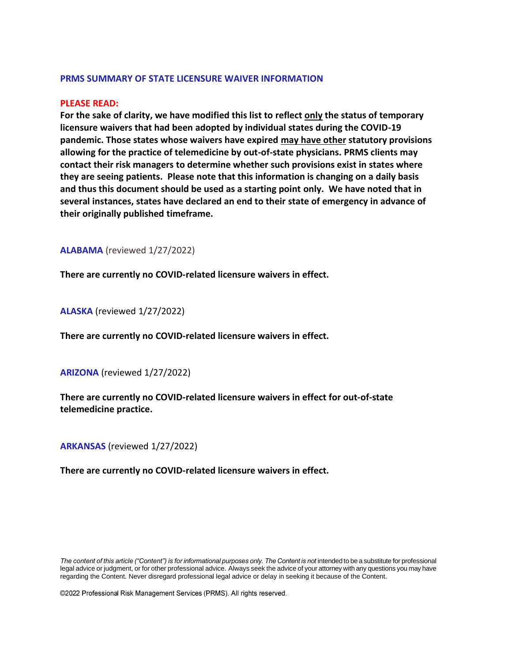#### **PRMS SUMMARY OF STATE LICENSURE WAIVER INFORMATION**

#### **PLEASE READ:**

**For the sake of clarity, we have modified this list to reflect only the status of temporary licensure waivers that had been adopted by individual states during the COVID-19 pandemic. Those states whose waivers have expired may have other statutory provisions allowing for the practice of telemedicine by out-of-state physicians. PRMS clients may contact their risk managers to determine whether such provisions exist in states where they are seeing patients. Please note that this information is changing on a daily basis and thus this document should be used as a starting point only. We have noted that in several instances, states have declared an end to their state of emergency in advance of their originally published timeframe.**

**ALABAMA** (reviewed 1/27/2022)

**There are currently no COVID-related licensure waivers in effect.**

**ALASKA** (reviewed 1/27/2022)

**There are currently no COVID-related licensure waivers in effect.**

**ARIZONA** (reviewed 1/27/2022)

**There are currently no COVID-related licensure waivers in effect for out-of-state telemedicine practice.**

**ARKANSAS** (reviewed 1/27/2022)

**There are currently no COVID-related licensure waivers in effect.**

*The content of this article ("Content") is for informational purposes only. The Content is not intended to be a substitute for professional legal advice or judgment, or for other professional advice. Always seek the advice of your attorney with any questions you may have regarding the Content. Never disregard professional legal advice or delay in seeking it because of the Content.*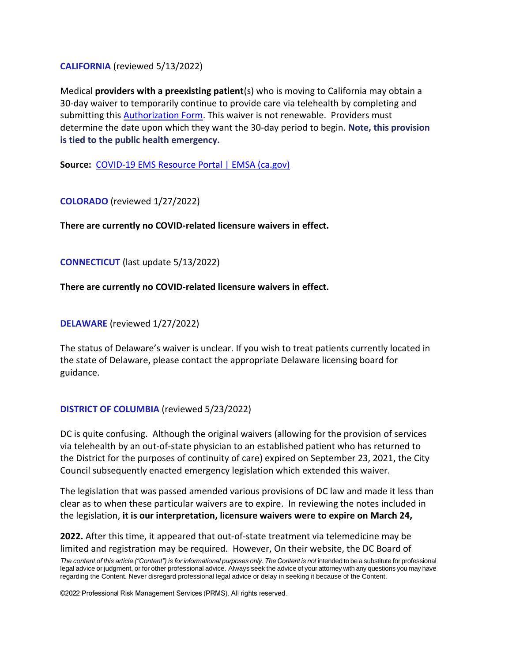**CALIFORNIA** (reviewed 5/13/2022)

Medical **providers with a preexisting patient**(s) who is moving to California may obtain a 30-day waiver to temporarily continue to provide care via telehealth by completing and submitting this [Authorization Form.](https://emsa.ca.gov/wp-content/uploads/sites/71/2020/09/PreexistingMHPAuthorizationForm.pdf) This waiver is not renewable. Providers must determine the date upon which they want the 30-day period to begin. **Note, this provision is tied to the public health emergency.** 

**Source:** [COVID-19 EMS Resource Portal | EMSA \(ca.gov\)](https://emsa.ca.gov/covid19/)

**COLORADO** (reviewed 1/27/2022)

**There are currently no COVID-related licensure waivers in effect.**

**CONNECTICUT** (last update 5/13/2022)

**There are currently no COVID-related licensure waivers in effect.**

**DELAWARE** (reviewed 1/27/2022)

The status of Delaware's waiver is unclear. If you wish to treat patients currently located in the state of Delaware, please contact the appropriate Delaware licensing board for guidance.

### **DISTRICT OF COLUMBIA** (reviewed 5/23/2022)

DC is quite confusing. Although the original waivers (allowing for the provision of services via telehealth by an out-of-state physician to an established patient who has returned to the District for the purposes of continuity of care) expired on September 23, 2021, the City Council subsequently enacted emergency legislation which extended this waiver.

The legislation that was passed amended various provisions of DC law and made it less than clear as to when these particular waivers are to expire. In reviewing the notes included in the legislation, **it is our interpretation, licensure waivers were to expire on March 24,** 

**2022.** After this time, it appeared that out-of-state treatment via telemedicine may be limited and registration may be required. However, On their website, the DC Board of

*The content of this article ("Content") is for informational purposes only. The Content is not intended to be a substitute for professional legal advice or judgment, or for other professional advice. Always seek the advice of your attorney with any questions you may have regarding the Content. Never disregard professional legal advice or delay in seeking it because of the Content.*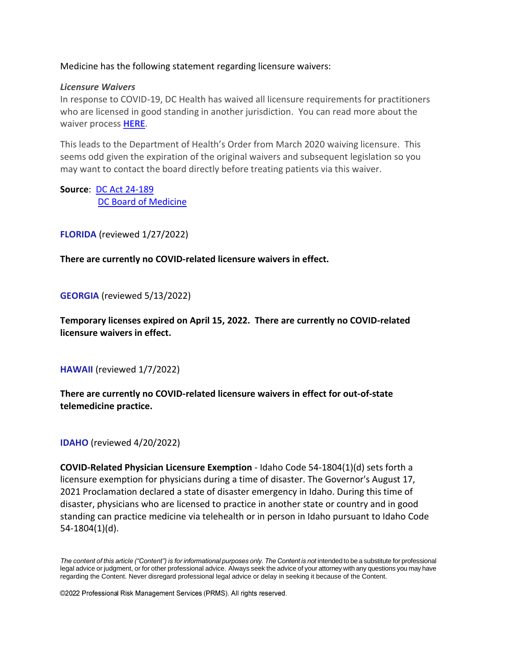### Medicine has the following statement regarding licensure waivers:

#### *Licensure Waivers*

In response to COVID-19, DC Health has waived all licensure requirements for practitioners who are licensed in good standing in another jurisdiction. You can read more about the waiver process **[HERE](https://dchealth.dc.gov/sites/default/files/dc/sites/doh/page_content/attachments/Order%20-%20Licensure%20Waivers.20.03.13.pdf)**.

This leads to the Department of Health's Order from March 2020 waiving licensure. This seems odd given the expiration of the original waivers and subsequent legislation so you may want to contact the board directly before treating patients via this waiver.

**Source**: [DC Act 24-189](https://code.dccouncil.us/us/dc/council/acts/24-189)  [DC Board of Medicine](https://dchealth.dc.gov/bomed)

**FLORIDA** (reviewed 1/27/2022)

**There are currently no COVID-related licensure waivers in effect.**

**GEORGIA** (reviewed 5/13/2022)

**Temporary licenses expired on April 15, 2022. There are currently no COVID-related licensure waivers in effect.**

**HAWAII** (reviewed 1/7/2022)

**There are currently no COVID-related licensure waivers in effect for out-of-state telemedicine practice.**

**IDAHO** (reviewed 4/20/2022)

**COVID-Related Physician Licensure Exemption** - Idaho Code 54-1804(1)(d) sets forth a licensure exemption for physicians during a time of disaster. The Governor's August 17, 2021 Proclamation declared a state of disaster emergency in Idaho. During this time of disaster, physicians who are licensed to practice in another state or country and in good standing can practice medicine via telehealth or in person in Idaho pursuant to Idaho Code 54-1804(1)(d).

*The content of this article ("Content") is for informational purposes only. The Content is not intended to be a substitute for professional legal advice or judgment, or for other professional advice. Always seek the advice of your attorney with any questions you may have regarding the Content. Never disregard professional legal advice or delay in seeking it because of the Content.*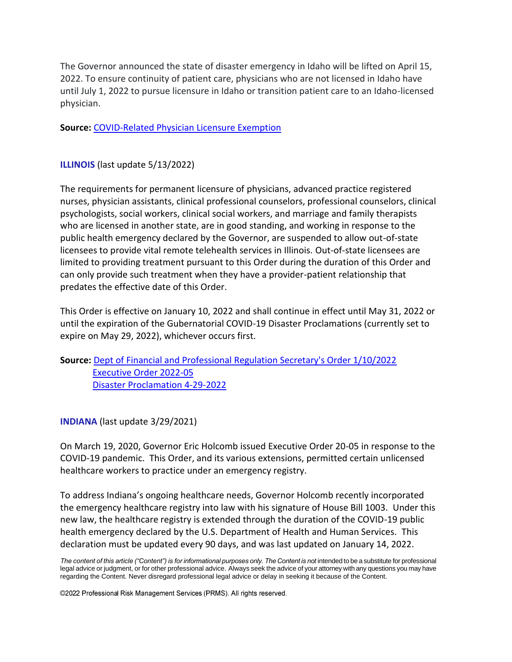The Governor announced the state of disaster emergency in Idaho will be lifted on April 15, 2022. To ensure continuity of patient care, physicians who are not licensed in Idaho have until July 1, 2022 to pursue licensure in Idaho or transition patient care to an Idaho-licensed physician.

**Source:** [COVID-Related Physician Licensure Exemption](https://elitepublic.bom.idaho.gov/IBOMPortal/AgencyAdditional.aspx?Agency=425&AgencyLinkID=125)

### **ILLINOIS** (last update 5/13/2022)

The requirements for permanent licensure of physicians, advanced practice registered nurses, physician assistants, clinical professional counselors, professional counselors, clinical psychologists, social workers, clinical social workers, and marriage and family therapists who are licensed in another state, are in good standing, and working in response to the public health emergency declared by the Governor, are suspended to allow out-of-state licensees to provide vital remote telehealth services in Illinois. Out-of-state licensees are limited to providing treatment pursuant to this Order during the duration of this Order and can only provide such treatment when they have a provider-patient relationship that predates the effective date of this Order.

This Order is effective on January 10, 2022 and shall continue in effect until May 31, 2022 or until the expiration of the Gubernatorial COVID-19 Disaster Proclamations (currently set to expire on May 29, 2022), whichever occurs first.

## **Source:** [Dept of Financial and Professional Regulation Secretary's Order 1/10/2022](https://www.idfpr.com/Forms/COVID19/Proclamation%20Out%20of%20State%20Telehealth%201%2010%2022.pdf) [Executive Order 2022-05](https://www.illinois.gov/government/executive-orders/executive-order.executive-order-number-05.2022.html) [Disaster Proclamation](https://coronavirus.illinois.gov/content/dam/soi/en/web/illinois/documents/government/coronavirus-disaster-proc-04-29-2022.pdf) 4-29-2022

### **INDIANA** (last update 3/29/2021)

On March 19, 2020, Governor Eric Holcomb issued Executive Order 20-05 in response to the COVID-19 pandemic. This Order, and its various extensions, permitted certain unlicensed healthcare workers to practice under an emergency registry.

To address Indiana's ongoing healthcare needs, Governor Holcomb recently incorporated the emergency healthcare registry into law with his signature of House Bill 1003. Under this new law, the healthcare registry is extended through the duration of the COVID-19 public health emergency declared by the U.S. Department of Health and Human Services. This declaration must be updated every 90 days, and was last updated on January 14, 2022.

*The content of this article ("Content") is for informational purposes only. The Content is not intended to be a substitute for professional legal advice or judgment, or for other professional advice. Always seek the advice of your attorney with any questions you may have regarding the Content. Never disregard professional legal advice or delay in seeking it because of the Content.*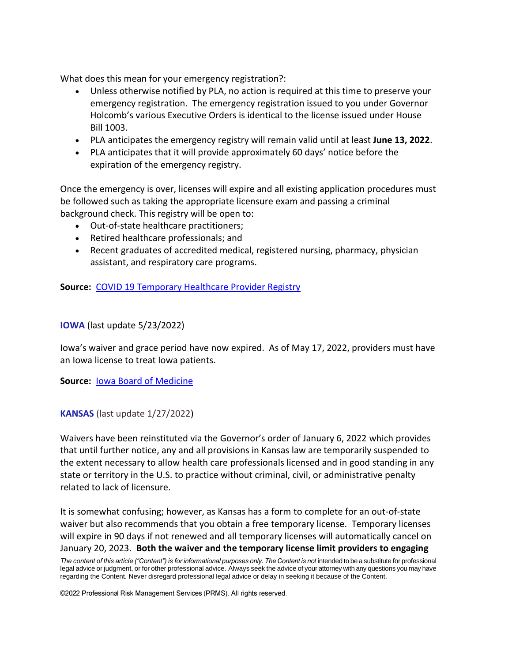What does this mean for your emergency registration?:

- Unless otherwise notified by PLA, no action is required at this time to preserve your emergency registration. The emergency registration issued to you under Governor Holcomb's various Executive Orders is identical to the license issued under House Bill 1003.
- PLA anticipates the emergency registry will remain valid until at least **June 13, 2022**.
- PLA anticipates that it will provide approximately 60 days' notice before the expiration of the emergency registry.

Once the emergency is over, licenses will expire and all existing application procedures must be followed such as taking the appropriate licensure exam and passing a criminal background check. This registry will be open to:

- Out-of-state healthcare practitioners;
- Retired healthcare professionals; and
- Recent graduates of accredited medical, registered nursing, pharmacy, physician assistant, and respiratory care programs.

**Source:** [COVID 19 Temporary Healthcare Provider Registry](https://www.in.gov/pla/4096.htm) 

## **IOWA** (last update 5/23/2022)

Iowa's waiver and grace period have now expired. As of May 17, 2022, providers must have an Iowa license to treat Iowa patients.

**Source:** [Iowa Board of Medicine](https://medicalboard.iowa.gov/)

**KANSAS** (last update 1/27/2022)

Waivers have been reinstituted via the Governor's order of January 6, 2022 which provides that until further notice, any and all provisions in Kansas law are temporarily suspended to the extent necessary to allow health care professionals licensed and in good standing in any state or territory in the U.S. to practice without criminal, civil, or administrative penalty related to lack of licensure.

It is somewhat confusing; however, as Kansas has a form to complete for an out-of-state waiver but also recommends that you obtain a free temporary license. Temporary licenses will expire in 90 days if not renewed and all temporary licenses will automatically cancel on January 20, 2023. **Both the waiver and the temporary license limit providers to engaging** 

*The content of this article ("Content") is for informational purposes only. The Content is not intended to be a substitute for professional legal advice or judgment, or for other professional advice. Always seek the advice of your attorney with any questions you may have regarding the Content. Never disregard professional legal advice or delay in seeking it because of the Content.*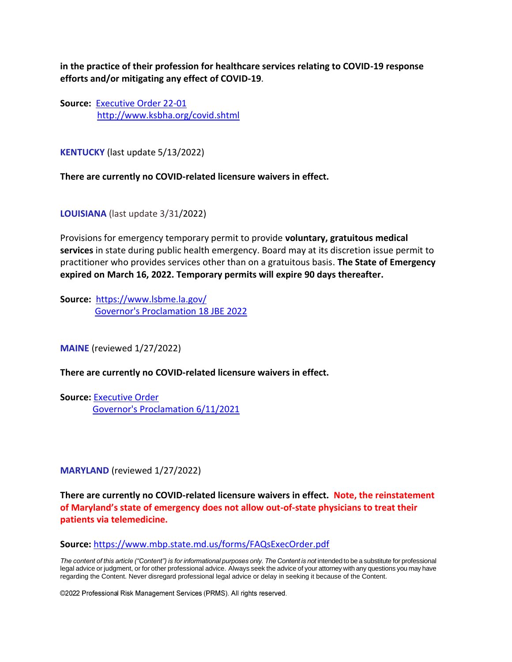**in the practice of their profession for healthcare services relating to COVID-19 response efforts and/or mitigating any effect of COVID-19**.

**Source:** [Executive Order 22-01](https://governor.kansas.gov/wp-content/uploads/2022/01/EO-22-01-Medical-Services-Executed.pdf) <http://www.ksbha.org/covid.shtml>

**KENTUCKY** (last update 5/13/2022)

**There are currently no COVID-related licensure waivers in effect.**

**LOUISIANA** (last update 3/31/2022)

Provisions for emergency temporary permit to provide **voluntary, gratuitous medical services** in state during public health emergency. Board may at its discretion issue permit to practitioner who provides services other than on a gratuitous basis. **The State of Emergency expired on March 16, 2022. Temporary permits will expire 90 days thereafter.**

**Source:** <https://www.lsbme.la.gov/> [Governor's Proclamation 18 JBE 2022](https://gov.louisiana.gov/assets/Proclamations/2022/18JBE2022StateofEmergency.pdf)

**MAINE** (reviewed 1/27/2022)

**There are currently no COVID-related licensure waivers in effect.**

**Source:** [Executive Order](https://www.maine.gov/md/sites/maine.gov.md/files/inline-files/Medical%20Licensing%20and%20Telehealth%20Executive%20Order.pdf)  [Governor's Proclamation 6/11/2021](https://www.maine.gov/governor/mills/news/governor-mills-announces-state-civil-emergency-end-june-30th-2021-06-11)

**MARYLAND** (reviewed 1/27/2022)

**There are currently no COVID-related licensure waivers in effect. Note, the reinstatement of Maryland's state of emergency does not allow out-of-state physicians to treat their patients via telemedicine.**

**Source:** <https://www.mbp.state.md.us/forms/FAQsExecOrder.pdf>

*The content of this article ("Content") is for informational purposes only. The Content is not intended to be a substitute for professional legal advice or judgment, or for other professional advice. Always seek the advice of your attorney with any questions you may have regarding the Content. Never disregard professional legal advice or delay in seeking it because of the Content.*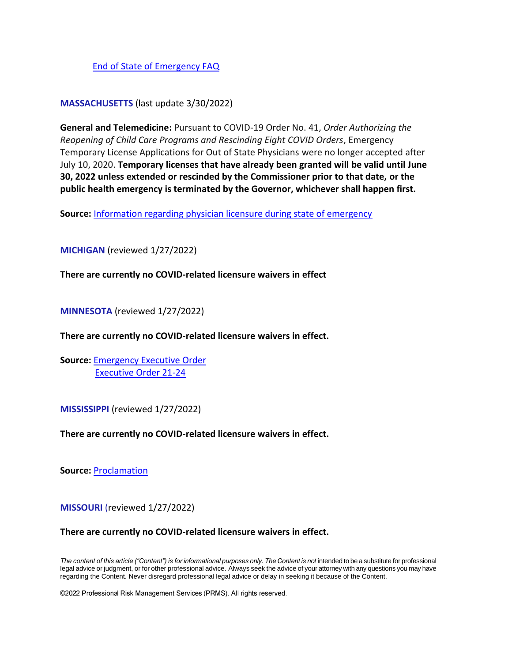[End of State of Emergency FAQ](https://www.mbp.state.md.us/forms/end_state_emergency.pdf)

## **MASSACHUSETTS** (last update 3/30/2022)

**General and Telemedicine:** Pursuant to COVID-19 Order No. 41, *Order Authorizing the Reopening of Child Care Programs and Rescinding Eight COVID Orders*, Emergency Temporary License Applications for Out of State Physicians were no longer accepted after July 10, 2020. **Temporary licenses that have already been granted will be valid until June 30, 2022 unless extended or rescinded by the Commissioner prior to that date, or the public health emergency is terminated by the Governor, whichever shall happen first.**

**Source:** [Information regarding physician licensure during state of emergency](https://www.mass.gov/service-details/important-information-regarding-physician-licensure-during-the-state-of-emergency)

**MICHIGAN** (reviewed 1/27/2022)

**There are currently no COVID-related licensure waivers in effect**

**MINNESOTA** (reviewed 1/27/2022)

**There are currently no COVID-related licensure waivers in effect.**

**Source:** [Emergency Executive Order](https://mn.gov/governor/assets/EO%2020-46%20Final%20Filed_tcm1055-429837.pdf) [Executive Order 21-24](https://mn.gov/governor/assets/EO%2021-24%20Final_tcm1055-485447.pdf)

**MISSISSIPPI** (reviewed 1/27/2022)

**There are currently no COVID-related licensure waivers in effect.**

**Source:** [Proclamation](https://www.msbml.ms.gov/sites/default/files/news/10%2026%202020%20MSBML%20Proclamaton.pdf)

**MISSOURI** (reviewed 1/27/2022)

#### **There are currently no COVID-related licensure waivers in effect.**

*The content of this article ("Content") is for informational purposes only. The Content is not intended to be a substitute for professional legal advice or judgment, or for other professional advice. Always seek the advice of your attorney with any questions you may have regarding the Content. Never disregard professional legal advice or delay in seeking it because of the Content.*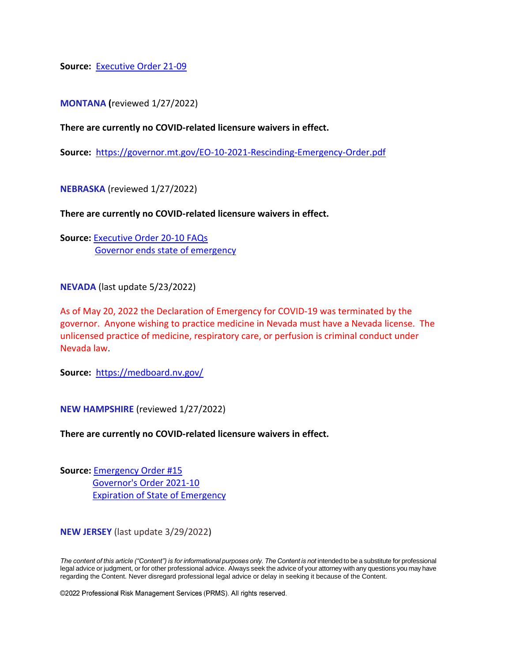**Source:** [Executive Order 21-09](https://www.sos.mo.gov/library/reference/orders/2021/eo9)

**MONTANA (**reviewed 1/27/2022)

**There are currently no COVID-related licensure waivers in effect.**

**Source:** <https://governor.mt.gov/EO-10-2021-Rescinding-Emergency-Order.pdf>

**NEBRASKA** (reviewed 1/27/2022)

**There are currently no COVID-related licensure waivers in effect.**

**Source:** [Executive Order 20-10 FAQs](http://dhhs.ne.gov/Documents/COVID-19%20Executive%20Order%2020-10%20FAQ.pdf) [Governor ends state of emergency](https://governor.nebraska.gov/press/gov-ricketts-ends-coronavirus-state-emergency)

**NEVADA** (last update 5/23/2022)

As of May 20, 2022 the Declaration of Emergency for COVID-19 was terminated by the governor. Anyone wishing to practice medicine in Nevada must have a Nevada license. The unlicensed practice of medicine, respiratory care, or perfusion is criminal conduct under Nevada law.

**Source:** <https://medboard.nv.gov/>

**NEW HAMPSHIRE** (reviewed 1/27/2022)

**There are currently no COVID-related licensure waivers in effect.**

**Source:** [Emergency Order #15](https://www.governor.nh.gov/news-media/emergency-orders/documents/emergency-order-15.pdf) [Governor's Order 2021-10](https://www.governor.nh.gov/sites/g/files/ehbemt336/files/documents/2021-10.pdf) [Expiration of State of Emergency](https://www.nbcboston.com/news/coronavirus/new-hampshires-covid-pandemic-state-of-emergency-ends-friday/2402861/)

**NEW JERSEY** (last update 3/29/2022)

*The content of this article ("Content") is for informational purposes only. The Content is not intended to be a substitute for professional legal advice or judgment, or for other professional advice. Always seek the advice of your attorney with any questions you may have regarding the Content. Never disregard professional legal advice or delay in seeking it because of the Content.*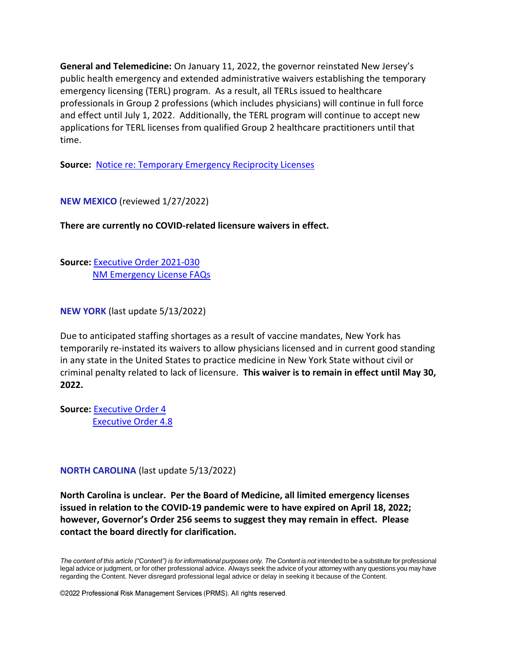**General and Telemedicine:** On January 11, 2022, the governor reinstated New Jersey's public health emergency and extended administrative waivers establishing the temporary emergency licensing (TERL) program. As a result, all TERLs issued to healthcare professionals in Group 2 professions (which includes physicians) will continue in full force and effect until July 1, 2022. Additionally, the TERL program will continue to accept new applications for TERL licenses from qualified Group 2 healthcare practitioners until that time.

**Source:** [Notice re: Temporary Emergency Reciprocity Licenses](https://www.njconsumeraffairs.gov/Pages/Temporary-Emergency-License-for-Out-of-State-Practitioners.aspx)

**NEW MEXICO** (reviewed 1/27/2022)

**There are currently no COVID-related licensure waivers in effect.**

**Source:** [Executive Order 2021-030](https://www.governor.state.nm.us/wp-content/uploads/2021/06/Executive-Order-2021-030.pdf) [NM Emergency License FAQs](https://www.nmmb.state.nm.us/docs/license_apps/emergency_md/FACT%20SHEET%20and%20FAQs%20for%20FED%20EMERGENCY%20LICENSE%204.2020%20(1).pdf)

**NEW YORK** (last update 5/13/2022)

Due to anticipated staffing shortages as a result of vaccine mandates, New York has temporarily re-instated its waivers to allow physicians licensed and in current good standing in any state in the United States to practice medicine in New York State without civil or criminal penalty related to lack of licensure. **This waiver is to remain in effect until May 30, 2022.**

**Source:** [Executive Order 4](https://www.governor.ny.gov/news/no-4-declaring-statewide-disaster-emergency-due-healthcare-staffing-shortages-state-new-york) [Executive Order 4.8](https://www.governor.ny.gov/executive-order/no-48-continuing-declaration-statewide-disaster-emergency-due-healthcare-staffing)

**NORTH CAROLINA** (last update 5/13/2022)

**North Carolina is unclear. Per the Board of Medicine, all limited emergency licenses issued in relation to the COVID-19 pandemic were to have expired on April 18, 2022; however, Governor's Order 256 seems to suggest they may remain in effect. Please contact the board directly for clarification.**

*The content of this article ("Content") is for informational purposes only. The Content is not intended to be a substitute for professional legal advice or judgment, or for other professional advice. Always seek the advice of your attorney with any questions you may have regarding the Content. Never disregard professional legal advice or delay in seeking it because of the Content.*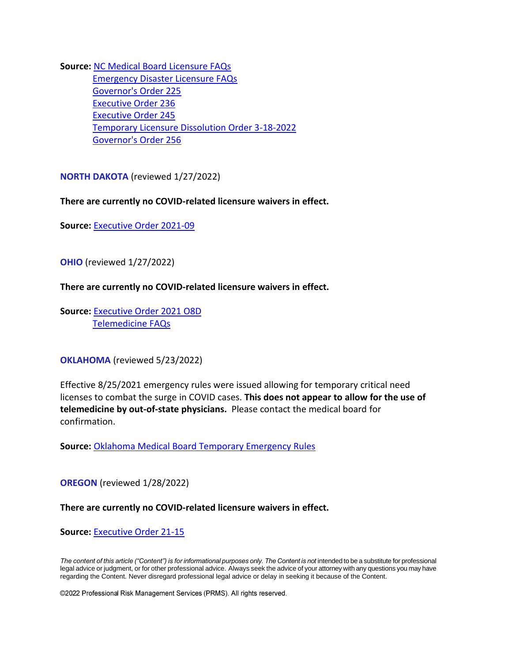**Source:** [NC Medical Board Licensure FAQs](https://www.ncmedboard.org/resources-information/faqs/covid-19-licensure-faqs) [Emergency Disaster Licensure FAQs](https://www.ncmedboard.org/resources-information/faqs/emergency-disaster-licensure) [Governor's Order 225](https://governor.nc.gov/media/2691/open) [Executive Order 236](https://governor.nc.gov/media/2806/open) [Executive Order 245](https://governor.nc.gov/media/2906/open) [Temporary Licensure Dissolution Order 3-18-2022](https://www.ncmedboard.org/images/uploads/other_pdfs/Combined_Dissolution_Order_LEL_and_Fellowship_LEL_Orders_03.18.2022.pdf) [Governor's Order 256](https://governor.nc.gov/media/3160/open)

**NORTH DAKOTA** (reviewed 1/27/2022)

### **There are currently no COVID-related licensure waivers in effect.**

**Source:** [Executive Order 2021-09](https://www.governor.nd.gov/sites/www/files/documents/executive-orders/Executive%20Order%202021-09%20rescind%20COVID-19%20dec.pdf)

**OHIO** (reviewed 1/27/2022)

**There are currently no COVID-related licensure waivers in effect.**

**Source:** [Executive Order 2021 O8D](https://governor.ohio.gov/wps/portal/gov/governor/media/executive-orders/executive-order-2021-08d) [Telemedicine FAQs](https://med.ohio.gov/Portals/0/Telemedicine%20FAQs%20approved%20by%20Bd%20on%208-11-21.pdf)

**OKLAHOMA** (reviewed 5/23/2022)

Effective 8/25/2021 emergency rules were issued allowing for temporary critical need licenses to combat the surge in COVID cases. **This does not appear to allow for the use of telemedicine by out-of-state physicians.** Please contact the medical board for confirmation.

**Source:** [Oklahoma Medical Board Temporary Emergency Rules](https://www.okmedicalboard.org/download/2192/Emergency_Rules_Language_COVID_Licensure_Flexibility_Effective_08.25.2021.pdf)

**OREGON** (reviewed 1/28/2022)

**There are currently no COVID-related licensure waivers in effect.**

**Source:** [Executive Order 21-15](https://www.oregon.gov/gov/Documents/executive_orders/eo_21-15.pdf)

*The content of this article ("Content") is for informational purposes only. The Content is not intended to be a substitute for professional legal advice or judgment, or for other professional advice. Always seek the advice of your attorney with any questions you may have regarding the Content. Never disregard professional legal advice or delay in seeking it because of the Content.*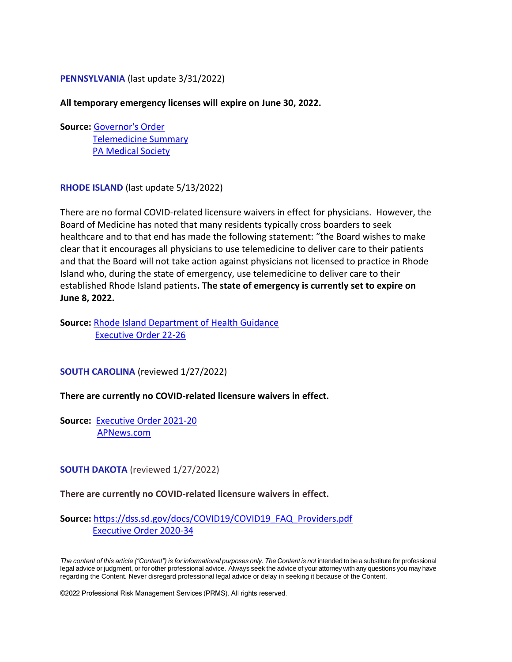### **PENNSYLVANIA** (last update 3/31/2022)

#### **All temporary emergency licenses will expire on June 30, 2022.**

**Source:** [Governor's Order](https://www.governor.pa.gov/wp-content/uploads/2020/05/20200506-GOV-health-care-professionals-protection-order-COVID-19.pdf) [Telemedicine Summary](https://www.dos.pa.gov/Documents/2020-03-18-Telemedicine-Summary.pdf) [PA Medical Society](https://www.pamedsoc.org/home/news-resources/pamed-news/articles/pa-legislature-extends-regulatory-waivers-for-additional-6-months)

**RHODE ISLAND** (last update 5/13/2022)

There are no formal COVID-related licensure waivers in effect for physicians. However, the Board of Medicine has noted that many residents typically cross boarders to seek healthcare and to that end has made the following statement: "the Board wishes to make clear that it encourages all physicians to use telemedicine to deliver care to their patients and that the Board will not take action against physicians not licensed to practice in Rhode Island who, during the state of emergency, use telemedicine to deliver care to their established Rhode Island patients**. The state of emergency is currently set to expire on June 8, 2022.**

**Source:** [Rhode Island Department of Health Guidance](https://health.ri.gov/publications/policies/RIDOH-Policies-Telemedicine.BMLD.3.20.20.pdf) [Executive Order 22-26](https://governor.ri.gov/executive-orders/executive-order-22-26)

#### **SOUTH CAROLINA** (reviewed 1/27/2022)

#### **There are currently no COVID-related licensure waivers in effect.**

**Source:** [Executive Order 2021-20](https://governor.sc.gov/sites/default/files/Documents/Executive-Orders/2021-04-22%20FILED%20Executive%20Order%20No.%202021-20%20-%20State%20of%20Emergency.pdf) [APNews.com](https://apnews.com/article/sc-state-wire-south-carolina-coronavirus-pandemic-health-c2f7cf290bc4e268bc853078e5b8aa1d)

**SOUTH DAKOTA** (reviewed 1/27/2022)

**There are currently no COVID-related licensure waivers in effect.**

# **Source:** [https://dss.sd.gov/docs/COVID19/COVID19\\_FAQ\\_Providers.pdf](https://dss.sd.gov/docs/COVID19/COVID19_FAQ_Providers.pdf) [Executive Order 2020-34](https://covid.sd.gov/docs/2020-34.pdf)

*The content of this article ("Content") is for informational purposes only. The Content is not intended to be a substitute for professional legal advice or judgment, or for other professional advice. Always seek the advice of your attorney with any questions you may have regarding the Content. Never disregard professional legal advice or delay in seeking it because of the Content.*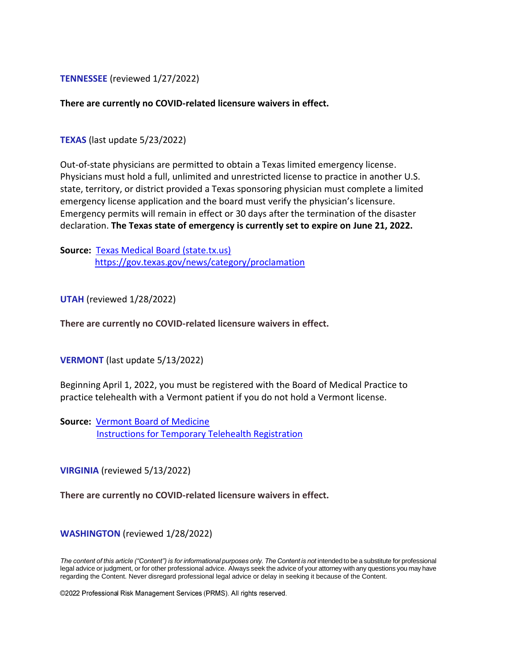**TENNESSEE** (reviewed 1/27/2022)

**There are currently no COVID-related licensure waivers in effect.**

**TEXAS** (last update 5/23/2022)

Out-of-state physicians are permitted to obtain a Texas limited emergency license. Physicians must hold a full, unlimited and unrestricted license to practice in another U.S. state, territory, or district provided a Texas sponsoring physician must complete a limited emergency license application and the board must verify the physician's licensure. Emergency permits will remain in effect or 30 days after the termination of the disaster declaration. **The Texas state of emergency is currently set to expire on June 21, 2022.**

**Source:** [Texas Medical Board \(state.tx.us\)](https://www.tmb.state.tx.us/page/licensing) <https://gov.texas.gov/news/category/proclamation>

**UTAH** (reviewed 1/28/2022)

**There are currently no COVID-related licensure waivers in effect.**

**VERMONT** (last update 5/13/2022)

Beginning April 1, 2022, you must be registered with the Board of Medical Practice to practice telehealth with a Vermont patient if you do not hold a Vermont license.

**Source:** [Vermont Board of Medicine](https://www.healthvermont.gov/systems/medical-practice-board) [Instructions for Temporary Telehealth Registration](https://www.healthvermont.gov/sites/default/files/documents/pdf/BMP-Licensing-TelehealthInstructions-03252022.pdf)

**VIRGINIA** (reviewed 5/13/2022)

**There are currently no COVID-related licensure waivers in effect.**

**WASHINGTON** (reviewed 1/28/2022)

*The content of this article ("Content") is for informational purposes only. The Content is not intended to be a substitute for professional legal advice or judgment, or for other professional advice. Always seek the advice of your attorney with any questions you may have regarding the Content. Never disregard professional legal advice or delay in seeking it because of the Content.*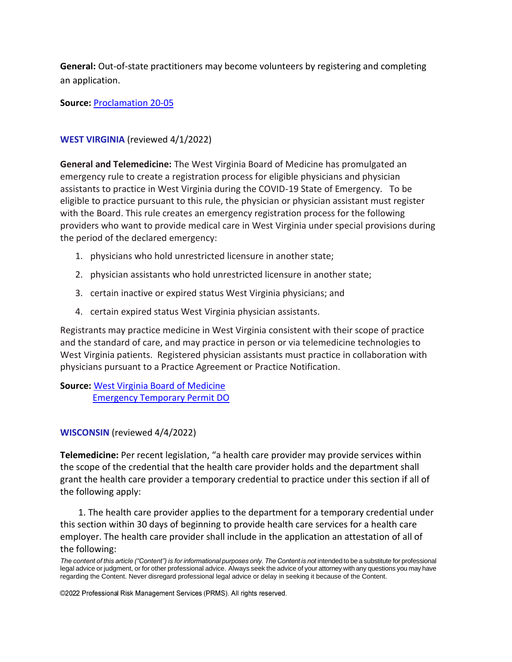**General:** Out-of-state practitioners may become volunteers by registering and completing an application.

**Source:** [Proclamation 20-05](https://www.governor.wa.gov/sites/default/files/proclamations/20-05%20Coronavirus%20%28final%29.pdf)

## **WEST VIRGINIA** (reviewed 4/1/2022)

**General and Telemedicine:** The West Virginia Board of Medicine has promulgated an emergency rule to create a registration process for eligible physicians and physician assistants to practice in West Virginia during the COVID-19 State of Emergency. To be eligible to practice pursuant to this rule, the physician or physician assistant must register with the Board. This rule creates an emergency registration process for the following providers who want to provide medical care in West Virginia under special provisions during the period of the declared emergency:

- 1. physicians who hold unrestricted licensure in another state;
- 2. physician assistants who hold unrestricted licensure in another state;
- 3. certain inactive or expired status West Virginia physicians; and
- 4. certain expired status West Virginia physician assistants.

Registrants may practice medicine in West Virginia consistent with their scope of practice and the standard of care, and may practice in person or via telemedicine technologies to West Virginia patients. Registered physician assistants must practice in collaboration with physicians pursuant to a Practice Agreement or Practice Notification.

# **Source:** [West Virginia Board of Medicine](https://wvbom.wv.gov/Outofstateandretired.asp) [Emergency Temporary Permit DO](https://www.wvbdosteo.org/licensing/do/apply/temp/contact.asp)

### **WISCONSIN** (reviewed 4/4/2022)

**Telemedicine:** Per recent legislation, "a health care provider may provide services within the scope of the credential that the health care provider holds and the department shall grant the health care provider a temporary credential to practice under this section if all of the following apply:

1. The health care provider applies to the department for a temporary credential under this section within 30 days of beginning to provide health care services for a health care employer. The health care provider shall include in the application an attestation of all of the following:

*The content of this article ("Content") is for informational purposes only. The Content is not intended to be a substitute for professional legal advice or judgment, or for other professional advice. Always seek the advice of your attorney with any questions you may have regarding the Content. Never disregard professional legal advice or delay in seeking it because of the Content.*

<sup>©2022</sup> Professional Risk Management Services (PRMS). All rights reserved.